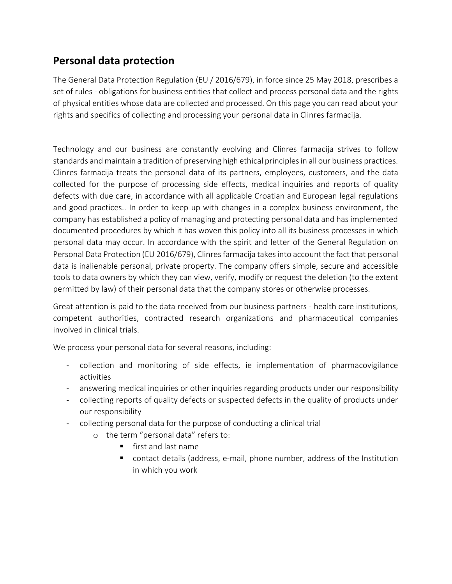# Personal data protection

The General Data Protection Regulation (EU / 2016/679), in force since 25 May 2018, prescribes a set of rules - obligations for business entities that collect and process personal data and the rights of physical entities whose data are collected and processed. On this page you can read about your rights and specifics of collecting and processing your personal data in Clinres farmacija.

Technology and our business are constantly evolving and Clinres farmacija strives to follow standards and maintain a tradition of preserving high ethical principles in all our business practices. Clinres farmacija treats the personal data of its partners, employees, customers, and the data collected for the purpose of processing side effects, medical inquiries and reports of quality defects with due care, in accordance with all applicable Croatian and European legal regulations and good practices.. In order to keep up with changes in a complex business environment, the company has established a policy of managing and protecting personal data and has implemented documented procedures by which it has woven this policy into all its business processes in which personal data may occur. In accordance with the spirit and letter of the General Regulation on Personal Data Protection (EU 2016/679), Clinres farmacija takes into account the fact that personal data is inalienable personal, private property. The company offers simple, secure and accessible tools to data owners by which they can view, verify, modify or request the deletion (to the extent permitted by law) of their personal data that the company stores or otherwise processes.

Great attention is paid to the data received from our business partners - health care institutions, competent authorities, contracted research organizations and pharmaceutical companies involved in clinical trials.

We process your personal data for several reasons, including:

- collection and monitoring of side effects, ie implementation of pharmacovigilance activities
- answering medical inquiries or other inquiries regarding products under our responsibility
- collecting reports of quality defects or suspected defects in the quality of products under our responsibility
- collecting personal data for the purpose of conducting a clinical trial
	- o the term "personal data" refers to:
		- first and last name
		- contact details (address, e-mail, phone number, address of the Institution in which you work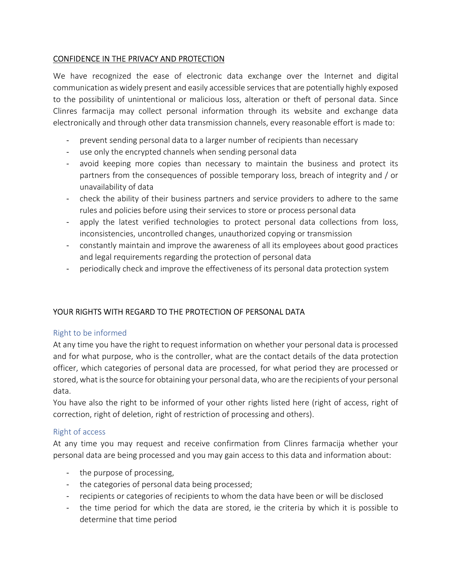## CONFIDENCE IN THE PRIVACY AND PROTECTION

We have recognized the ease of electronic data exchange over the Internet and digital communication as widely present and easily accessible services that are potentially highly exposed to the possibility of unintentional or malicious loss, alteration or theft of personal data. Since Clinres farmacija may collect personal information through its website and exchange data electronically and through other data transmission channels, every reasonable effort is made to:

- prevent sending personal data to a larger number of recipients than necessary
- use only the encrypted channels when sending personal data
- avoid keeping more copies than necessary to maintain the business and protect its partners from the consequences of possible temporary loss, breach of integrity and / or unavailability of data
- check the ability of their business partners and service providers to adhere to the same rules and policies before using their services to store or process personal data
- apply the latest verified technologies to protect personal data collections from loss, inconsistencies, uncontrolled changes, unauthorized copying or transmission
- constantly maintain and improve the awareness of all its employees about good practices and legal requirements regarding the protection of personal data
- periodically check and improve the effectiveness of its personal data protection system

## YOUR RIGHTS WITH REGARD TO THE PROTECTION OF PERSONAL DATA

#### Right to be informed

At any time you have the right to request information on whether your personal data is processed and for what purpose, who is the controller, what are the contact details of the data protection officer, which categories of personal data are processed, for what period they are processed or stored, what is the source for obtaining your personal data, who are the recipients of your personal data.

You have also the right to be informed of your other rights listed here (right of access, right of correction, right of deletion, right of restriction of processing and others).

#### Right of access

At any time you may request and receive confirmation from Clinres farmacija whether your personal data are being processed and you may gain access to this data and information about:

- the purpose of processing,
- the categories of personal data being processed;
- recipients or categories of recipients to whom the data have been or will be disclosed
- the time period for which the data are stored, ie the criteria by which it is possible to determine that time period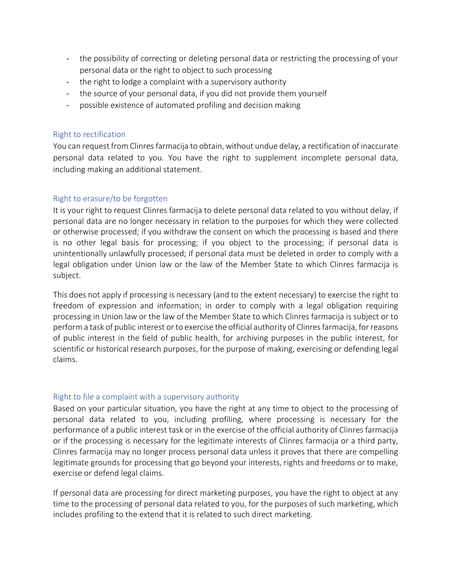- the possibility of correcting or deleting personal data or restricting the processing of your personal data or the right to object to such processing
- the right to lodge a complaint with a supervisory authority
- the source of your personal data, if you did not provide them yourself
- possible existence of automated profiling and decision making

### Right to rectification

You can request from Clinres farmacija to obtain, without undue delay, a rectification of inaccurate personal data related to you. You have the right to supplement incomplete personal data, including making an additional statement.

## Right to erasure/to be forgotten

It is your right to request Clinres farmacija to delete personal data related to you without delay, if personal data are no longer necessary in relation to the purposes for which they were collected or otherwise processed; if you withdraw the consent on which the processing is based and there is no other legal basis for processing; if you object to the processing; if personal data is unintentionally unlawfully processed; if personal data must be deleted in order to comply with a legal obligation under Union law or the law of the Member State to which Clinres farmacija is subject.

This does not apply if processing is necessary (and to the extent necessary) to exercise the right to freedom of expression and information; in order to comply with a legal obligation requiring processing in Union law or the law of the Member State to which Clinres farmacija is subject or to perform a task of public interest or to exercise the official authority of Clinres farmacija, for reasons of public interest in the field of public health, for archiving purposes in the public interest, for scientific or historical research purposes, for the purpose of making, exercising or defending legal claims.

#### Right to file a complaint with a supervisory authority

Based on your particular situation, you have the right at any time to object to the processing of personal data related to you, including profiling, where processing is necessary for the performance of a public interest task or in the exercise of the official authority of Clinres farmacija or if the processing is necessary for the legitimate interests of Clinres farmacija or a third party, Clinres farmacija may no longer process personal data unless it proves that there are compelling legitimate grounds for processing that go beyond your interests, rights and freedoms or to make, exercise or defend legal claims.

If personal data are processing for direct marketing purposes, you have the right to object at any time to the processing of personal data related to you, for the purposes of such marketing, which includes profiling to the extend that it is related to such direct marketing.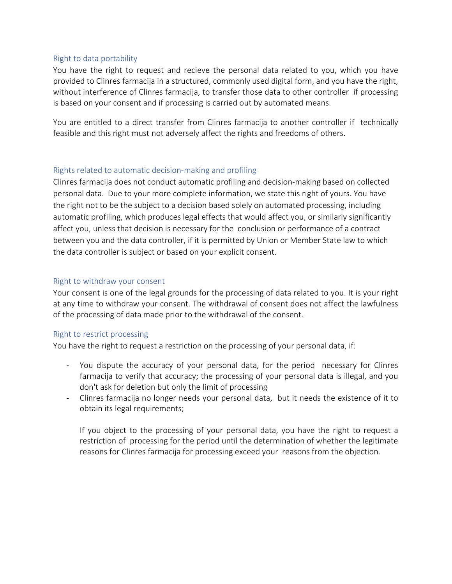#### Right to data portability

You have the right to request and recieve the personal data related to you, which you have provided to Clinres farmacija in a structured, commonly used digital form, and you have the right, without interference of Clinres farmacija, to transfer those data to other controller if processing is based on your consent and if processing is carried out by automated means.

You are entitled to a direct transfer from Clinres farmacija to another controller if technically feasible and this right must not adversely affect the rights and freedoms of others.

#### Rights related to automatic decision-making and profiling

Clinres farmacija does not conduct automatic profiling and decision-making based on collected personal data. Due to your more complete information, we state this right of yours. You have the right not to be the subject to a decision based solely on automated processing, including automatic profiling, which produces legal effects that would affect you, or similarly significantly affect you, unless that decision is necessary for the conclusion or performance of a contract between you and the data controller, if it is permitted by Union or Member State law to which the data controller is subject or based on your explicit consent.

#### Right to withdraw your consent

Your consent is one of the legal grounds for the processing of data related to you. It is your right at any time to withdraw your consent. The withdrawal of consent does not affect the lawfulness of the processing of data made prior to the withdrawal of the consent.

#### Right to restrict processing

You have the right to request a restriction on the processing of your personal data, if:

- You dispute the accuracy of your personal data, for the period necessary for Clinres farmacija to verify that accuracy; the processing of your personal data is illegal, and you don't ask for deletion but only the limit of processing
- Clinres farmacija no longer needs your personal data, but it needs the existence of it to obtain its legal requirements;

If you object to the processing of your personal data, you have the right to request a restriction of processing for the period until the determination of whether the legitimate reasons for Clinres farmacija for processing exceed your reasons from the objection.